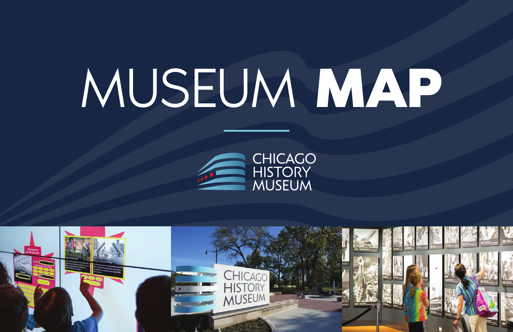# MUSEUM **MAP**



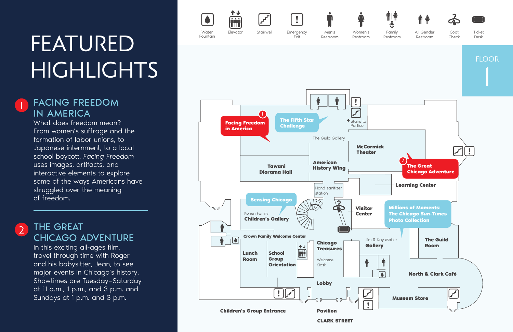# **FEATURED HIGHLIGHTS**

#### **1** FACING FREEDOM IN AMERICA

What does freedom mean? From women's suffrage and the formation of labor unions, to Japanese internment, to a local school boycott, *Facing Freedom* uses images, artifacts, and interactive elements to explore some of the ways Americans have struggled over the meaning of freedom.



**2**

Showtimes are Tuesday—Saturday at 11 a.m., 1 p.m., and 3 p.m. and Sundays at 1 p.m. and 3 p.m.



**CLARK STREET**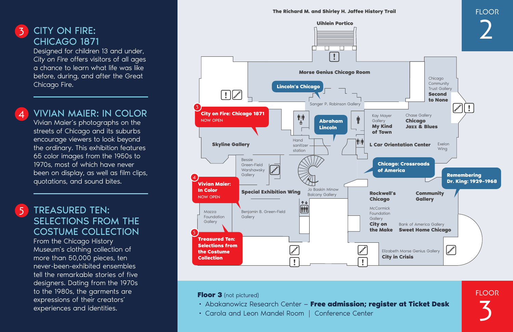### CITY ON FIRE: CHICAGO 1871

Designed for children 13 and under, *City on Fire* offers visitors of all ages a chance to learn what life was like before, during, and after the Great Chicago Fire.

VIVIAN MAIER: IN COLOR Vivian Maier's photographs on the streets of Chicago and its suburbs encourage viewers to look beyond the ordinary. This exhibition features 65 color images from the 1950s to 1970s, most of which have never been on display, as well as film clips, quotations, and sound bites.

**5**

**3**

**4**

#### TREASURED TEN: SELECTIONS FROM THE COSTUME COLLECTION

From the Chicago History Museum's clothing collection of more than 50,000 pieces, ten never-been-exhibited ensembles tell the remarkable stories of five designers. Dating from the 1970s to the 1980s, the garments are expressions of their creators' experiences and identities.



#### **Floor 3** (not pictured)

- Abakanowicz Research Center **Free admission; register at Ticket Desk**
- Carola and Leon Mandel Room | Conference Center

**FLOOR 3**